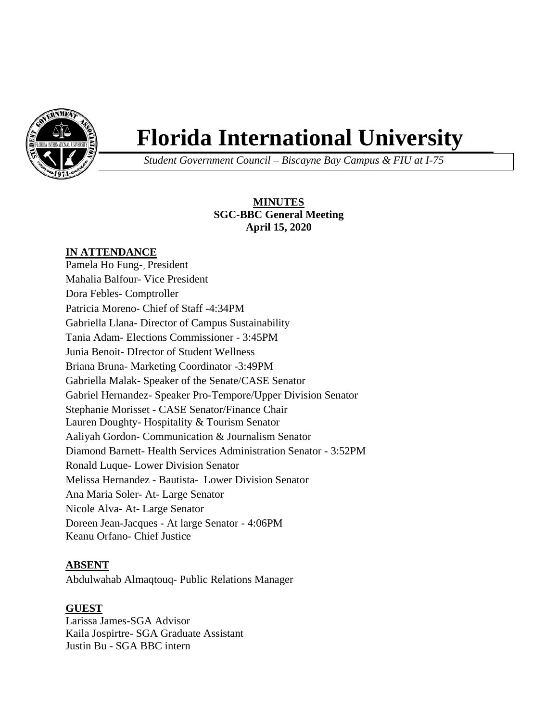

# **Florida International University**

*Student Government Council – Biscayne Bay Campus & FIU at I-75*

## **MINUTES SGC-BBC General Meeting April 15, 2020**

#### **IN ATTENDANCE**

Pamela Ho Fung-, President Mahalia Balfour- Vice President Dora Febles- Comptroller Patricia Moreno- Chief of Staff -4:34PM Gabriella Llana- Director of Campus Sustainability Tania Adam- Elections Commissioner - 3:45PM Junia Benoit- DIrector of Student Wellness Briana Bruna- Marketing Coordinator -3:49PM Gabriella Malak- Speaker of the Senate/CASE Senator Gabriel Hernandez- Speaker Pro-Tempore/Upper Division Senator Stephanie Morisset - CASE Senator/Finance Chair Lauren Doughty- Hospitality & Tourism Senator Aaliyah Gordon- Communication & Journalism Senator Diamond Barnett- Health Services Administration Senator - 3:52PM Ronald Luque- Lower Division Senator Melissa Hernandez - Bautista- Lower Division Senator Ana Maria Soler- At- Large Senator Nicole Alva- At- Large Senator Doreen Jean-Jacques - At large Senator - 4:06PM Keanu Orfano- Chief Justice

#### **ABSENT**

Abdulwahab Almaqtouq- Public Relations Manager

#### **GUEST**

Larissa James-SGA Advisor Kaila Jospirtre- SGA Graduate Assistant Justin Bu - SGA BBC intern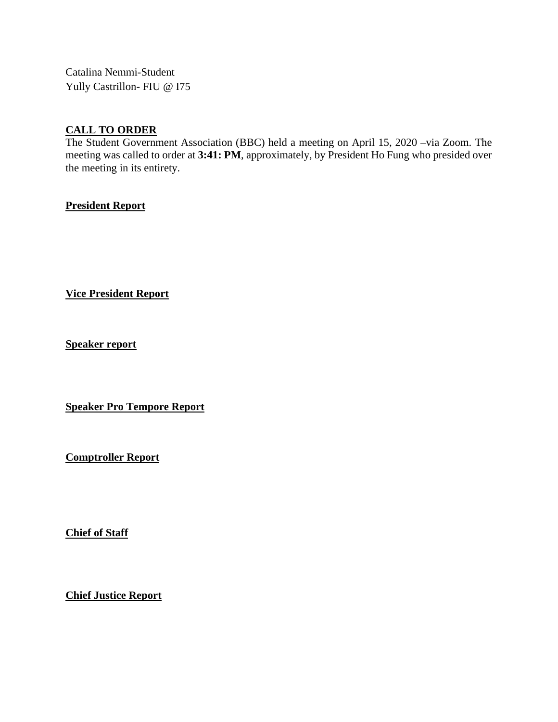Catalina Nemmi-Student Yully Castrillon- FIU @ I75

## **CALL TO ORDER**

The Student Government Association (BBC) held a meeting on April 15, 2020 –via Zoom. The meeting was called to order at **3:41: PM**, approximately, by President Ho Fung who presided over the meeting in its entirety.

## **President Report**

**Vice President Report**

**Speaker report**

**Speaker Pro Tempore Report**

**Comptroller Report**

**Chief of Staff**

**Chief Justice Report**